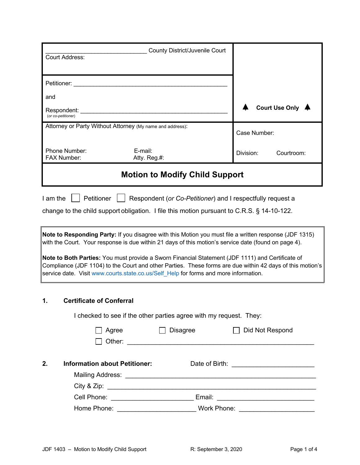| Court Address:                    |                                                                                                                                                                                                                                | County District/Juvenile Court                                                        |                                                                                                                                                                                                                |
|-----------------------------------|--------------------------------------------------------------------------------------------------------------------------------------------------------------------------------------------------------------------------------|---------------------------------------------------------------------------------------|----------------------------------------------------------------------------------------------------------------------------------------------------------------------------------------------------------------|
|                                   | Petitioner: Network and the state of the state of the state of the state of the state of the state of the state of the state of the state of the state of the state of the state of the state of the state of the state of the |                                                                                       |                                                                                                                                                                                                                |
| and                               |                                                                                                                                                                                                                                |                                                                                       |                                                                                                                                                                                                                |
| Respondent:<br>(or co-petitioner) |                                                                                                                                                                                                                                |                                                                                       | <b>Court Use Only</b>                                                                                                                                                                                          |
|                                   | Attorney or Party Without Attorney (My name and address):                                                                                                                                                                      |                                                                                       | Case Number:                                                                                                                                                                                                   |
| Phone Number:<br>FAX Number:      | E-mail:                                                                                                                                                                                                                        | Atty. Reg.#:                                                                          | Division:<br>Courtroom:                                                                                                                                                                                        |
|                                   |                                                                                                                                                                                                                                | <b>Motion to Modify Child Support</b>                                                 |                                                                                                                                                                                                                |
| I am the                          | Petitioner                                                                                                                                                                                                                     |                                                                                       | Respondent (or Co-Petitioner) and I respectfully request a<br>change to the child support obligation. I file this motion pursuant to C.R.S. § 14-10-122.                                                       |
|                                   |                                                                                                                                                                                                                                |                                                                                       | Note to Responding Party: If you disagree with this Motion you must file a written response (JDF 1315)<br>with the Court. Your response is due within 21 days of this motion's service date (found on page 4). |
|                                   |                                                                                                                                                                                                                                | service date. Visit www.courts.state.co.us/Self Help for forms and more information.  | Note to Both Parties: You must provide a Sworn Financial Statement (JDF 1111) and Certificate of<br>Compliance (JDF 1104) to the Court and other Parties. These forms are due within 42 days of this motion's  |
| 1.                                | <b>Certificate of Conferral</b>                                                                                                                                                                                                |                                                                                       |                                                                                                                                                                                                                |
|                                   | Agree<br>Other:                                                                                                                                                                                                                | I checked to see if the other parties agree with my request. They:<br><b>Disagree</b> | Did Not Respond                                                                                                                                                                                                |

| 2. | <b>Information about Petitioner:</b> | Date of Birth:                                                         |  |
|----|--------------------------------------|------------------------------------------------------------------------|--|
|    | Mailing Address:                     | <u> 1980 - Jan Samuel Barbara, margaret eta biztanleria (h. 1980).</u> |  |
|    |                                      |                                                                        |  |
|    | Cell Phone:                          | Email:                                                                 |  |
|    | Home Phone:                          | Work Phone:                                                            |  |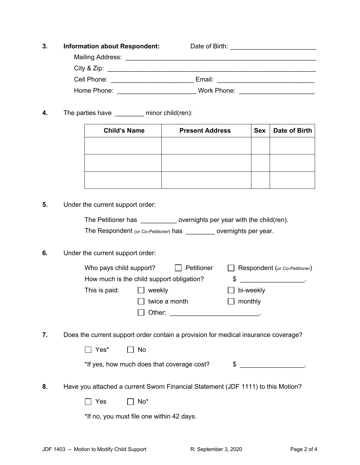| 3. | <b>Information about Respondent:</b> | Date of Birth:                                                                                                       |  |
|----|--------------------------------------|----------------------------------------------------------------------------------------------------------------------|--|
|    | Mailing Address:                     | <u> 2000 - 2000 - 2000 - 2000 - 2000 - 2000 - 2000 - 2000 - 2000 - 2000 - 2000 - 2000 - 2000 - 2000 - 2000 - 200</u> |  |
|    |                                      |                                                                                                                      |  |
|    | Cell Phone:                          | Email:                                                                                                               |  |
|    | Home Phone:                          | Work Phone:                                                                                                          |  |

**4.** The parties have \_\_\_\_\_\_\_\_ minor child(ren):

| <b>Child's Name</b> | <b>Present Address</b><br><b>Sex</b> |  | Date of Birth |  |  |
|---------------------|--------------------------------------|--|---------------|--|--|
|                     |                                      |  |               |  |  |
|                     |                                      |  |               |  |  |
|                     |                                      |  |               |  |  |
|                     |                                      |  |               |  |  |

**5.** Under the current support order:

|    | The Petitioner has ____________ overnights per year with the child(ren).<br>The Respondent (or Co-Petitioner) has ___________ overnights per year. |
|----|----------------------------------------------------------------------------------------------------------------------------------------------------|
| 6. | Under the current support order:                                                                                                                   |
|    | Petitioner<br>Who pays child support?<br>Respondent (or Co-Petitioner)                                                                             |
|    | \$<br>How much is the child support obligation?                                                                                                    |
|    | This is paid:<br>$\Box$ weekly<br>bi-weekly                                                                                                        |
|    | twice a month<br>monthly                                                                                                                           |
|    |                                                                                                                                                    |
| 7. | Does the current support order contain a provision for medical insurance coverage?                                                                 |
|    | Yes*<br>No                                                                                                                                         |
|    | *If yes, how much does that coverage cost?<br>$\frac{1}{2}$                                                                                        |
| 8. | Have you attached a current Sworn Financial Statement (JDF 1111) to this Motion?                                                                   |
|    | No*<br>Yes                                                                                                                                         |
|    | *If no, you must file one within 42 days.                                                                                                          |
|    |                                                                                                                                                    |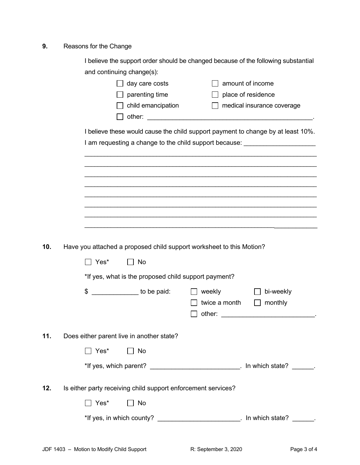## **9.** Reasons for the Change

|     |                                                                      | I believe the support order should be changed because of the following substantial |  |  |  |  |  |  |
|-----|----------------------------------------------------------------------|------------------------------------------------------------------------------------|--|--|--|--|--|--|
|     | and continuing change(s):                                            |                                                                                    |  |  |  |  |  |  |
|     | day care costs                                                       | amount of income                                                                   |  |  |  |  |  |  |
|     | parenting time                                                       | place of residence                                                                 |  |  |  |  |  |  |
|     | child emancipation                                                   | medical insurance coverage<br>$\perp$                                              |  |  |  |  |  |  |
|     |                                                                      |                                                                                    |  |  |  |  |  |  |
|     |                                                                      | I believe these would cause the child support payment to change by at least 10%.   |  |  |  |  |  |  |
|     |                                                                      | I am requesting a change to the child support because: _________________________   |  |  |  |  |  |  |
|     |                                                                      |                                                                                    |  |  |  |  |  |  |
|     |                                                                      |                                                                                    |  |  |  |  |  |  |
|     |                                                                      |                                                                                    |  |  |  |  |  |  |
|     |                                                                      |                                                                                    |  |  |  |  |  |  |
|     |                                                                      |                                                                                    |  |  |  |  |  |  |
|     |                                                                      |                                                                                    |  |  |  |  |  |  |
|     |                                                                      |                                                                                    |  |  |  |  |  |  |
|     |                                                                      |                                                                                    |  |  |  |  |  |  |
| 10. | Have you attached a proposed child support worksheet to this Motion? |                                                                                    |  |  |  |  |  |  |
|     | Yes*<br>No                                                           |                                                                                    |  |  |  |  |  |  |
|     | *If yes, what is the proposed child support payment?                 |                                                                                    |  |  |  |  |  |  |
|     | to be paid:<br>\$                                                    | bi-weekly<br>weekly                                                                |  |  |  |  |  |  |
|     |                                                                      | twice a month<br>monthly                                                           |  |  |  |  |  |  |
|     |                                                                      | other:                                                                             |  |  |  |  |  |  |
|     |                                                                      |                                                                                    |  |  |  |  |  |  |
| 11. | Does either parent live in another state?                            |                                                                                    |  |  |  |  |  |  |
|     | $\Box$ Yes*<br>No                                                    |                                                                                    |  |  |  |  |  |  |
|     |                                                                      | *If yes, which parent? _________________________________. In which state? ______.  |  |  |  |  |  |  |
| 12. | Is either party receiving child support enforcement services?        |                                                                                    |  |  |  |  |  |  |
|     |                                                                      |                                                                                    |  |  |  |  |  |  |
|     | Yes*<br>$\Box$ No                                                    |                                                                                    |  |  |  |  |  |  |
|     |                                                                      | *If yes, in which county? ___________________________. In which state? ______.     |  |  |  |  |  |  |
|     |                                                                      |                                                                                    |  |  |  |  |  |  |